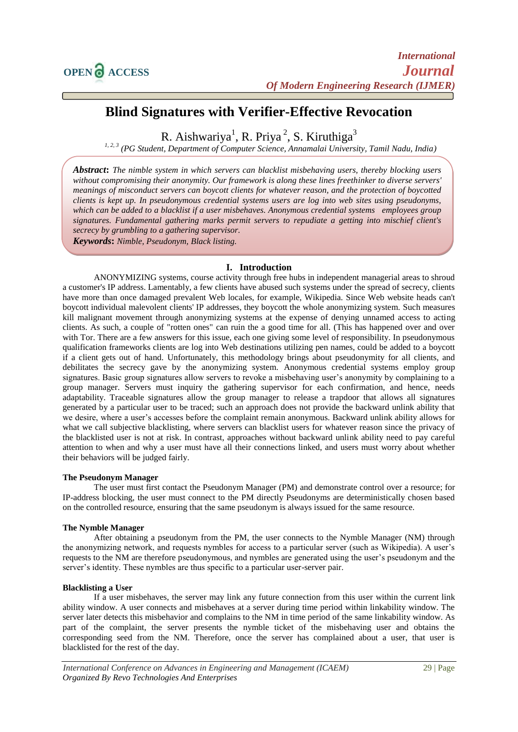# **Blind Signatures with Verifier-Effective Revocation**

R. Aishwariya<sup>1</sup>, R. Priya<sup>2</sup>, S. Kiruthiga<sup>3</sup>

<sup>1, 2, 3</sup> (PG Student, Department of Computer Science, Annamalai University, Tamil Nadu, India)

*Abstract***:** *The nimble system in which servers can blacklist misbehaving users, thereby blocking users without compromising their anonymity. Our framework is along these lines freethinker to diverse servers' meanings of misconduct servers can boycott clients for whatever reason, and the protection of boycotted clients is kept up. In pseudonymous credential systems users are log into web sites using pseudonyms, which can be added to a blacklist if a user misbehaves. Anonymous credential systems employees group signatures. Fundamental gathering marks permit servers to repudiate a getting into mischief client's secrecy by grumbling to a gathering supervisor.*

*Keywords***:** *Nimble, Pseudonym, Black listing.*

#### **I. Introduction**

ANONYMIZING systems, course activity through free hubs in independent managerial areas to shroud a customer's IP address. Lamentably, a few clients have abused such systems under the spread of secrecy, clients have more than once damaged prevalent Web locales, for example, Wikipedia. Since Web website heads can't boycott individual malevolent clients' IP addresses, they boycott the whole anonymizing system. Such measures kill malignant movement through anonymizing systems at the expense of denying unnamed access to acting clients. As such, a couple of "rotten ones" can ruin the a good time for all. (This has happened over and over with Tor. There are a few answers for this issue, each one giving some level of responsibility. In pseudonymous qualification frameworks clients are log into Web destinations utilizing pen names, could be added to a boycott if a client gets out of hand. Unfortunately, this methodology brings about pseudonymity for all clients, and debilitates the secrecy gave by the anonymizing system. Anonymous credential systems employ group signatures. Basic group signatures allow servers to revoke a misbehaving user's anonymity by complaining to a group manager. Servers must inquiry the gathering supervisor for each confirmation, and hence, needs adaptability. Traceable signatures allow the group manager to release a trapdoor that allows all signatures generated by a particular user to be traced; such an approach does not provide the backward unlink ability that we desire, where a user's accesses before the complaint remain anonymous. Backward unlink ability allows for what we call subjective blacklisting, where servers can blacklist users for whatever reason since the privacy of the blacklisted user is not at risk. In contrast, approaches without backward unlink ability need to pay careful attention to when and why a user must have all their connections linked, and users must worry about whether their behaviors will be judged fairly.

#### **The Pseudonym Manager**

The user must first contact the Pseudonym Manager (PM) and demonstrate control over a resource; for IP-address blocking, the user must connect to the PM directly Pseudonyms are deterministically chosen based on the controlled resource, ensuring that the same pseudonym is always issued for the same resource.

#### **The Nymble Manager**

After obtaining a pseudonym from the PM, the user connects to the Nymble Manager (NM) through the anonymizing network, and requests nymbles for access to a particular server (such as Wikipedia). A user's requests to the NM are therefore pseudonymous, and nymbles are generated using the user's pseudonym and the server's identity. These nymbles are thus specific to a particular user-server pair.

#### **Blacklisting a User**

If a user misbehaves, the server may link any future connection from this user within the current link ability window. A user connects and misbehaves at a server during time period within linkability window. The server later detects this misbehavior and complains to the NM in time period of the same linkability window. As part of the complaint, the server presents the nymble ticket of the misbehaving user and obtains the corresponding seed from the NM. Therefore, once the server has complained about a user, that user is blacklisted for the rest of the day.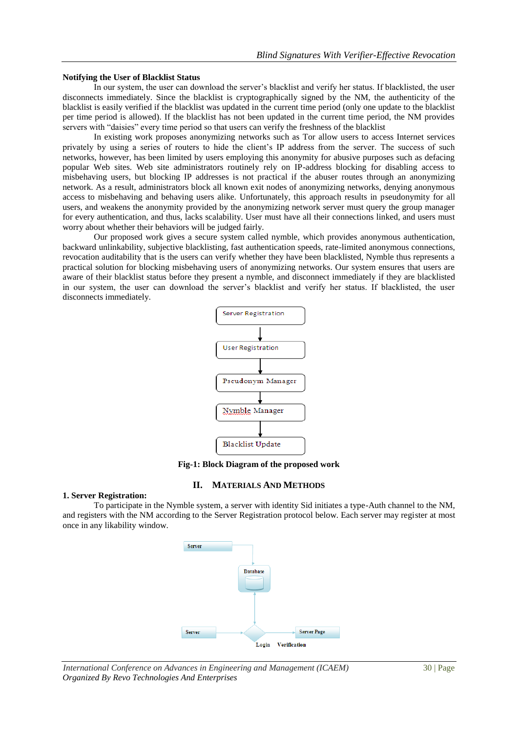#### **Notifying the User of Blacklist Status**

In our system, the user can download the server's blacklist and verify her status. If blacklisted, the user disconnects immediately. Since the blacklist is cryptographically signed by the NM, the authenticity of the blacklist is easily verified if the blacklist was updated in the current time period (only one update to the blacklist per time period is allowed). If the blacklist has not been updated in the current time period, the NM provides servers with "daisies" every time period so that users can verify the freshness of the blacklist

In existing work proposes anonymizing networks such as Tor allow users to access Internet services privately by using a series of routers to hide the client's IP address from the server. The success of such networks, however, has been limited by users employing this anonymity for abusive purposes such as defacing popular Web sites. Web site administrators routinely rely on IP-address blocking for disabling access to misbehaving users, but blocking IP addresses is not practical if the abuser routes through an anonymizing network. As a result, administrators block all known exit nodes of anonymizing networks, denying anonymous access to misbehaving and behaving users alike. Unfortunately, this approach results in pseudonymity for all users, and weakens the anonymity provided by the anonymizing network server must query the group manager for every authentication, and thus, lacks scalability. User must have all their connections linked, and users must worry about whether their behaviors will be judged fairly.

Our proposed work gives a secure system called nymble, which provides anonymous authentication, backward unlinkability, subjective blacklisting, fast authentication speeds, rate-limited anonymous connections, revocation auditability that is the users can verify whether they have been blacklisted, Nymble thus represents a practical solution for blocking misbehaving users of anonymizing networks. Our system ensures that users are aware of their blacklist status before they present a nymble, and disconnect immediately if they are blacklisted in our system, the user can download the server's blacklist and verify her status. If blacklisted, the user disconnects immediately.



**Fig-1: Block Diagram of the proposed work**

#### **II. MATERIALS AND METHODS**

#### **1. Server Registration:**

To participate in the Nymble system, a server with identity Sid initiates a type-Auth channel to the NM, and registers with the NM according to the Server Registration protocol below. Each server may register at most once in any likability window.



*International Conference on Advances in Engineering and Management (ICAEM)* 30 | Page *Organized By Revo Technologies And Enterprises*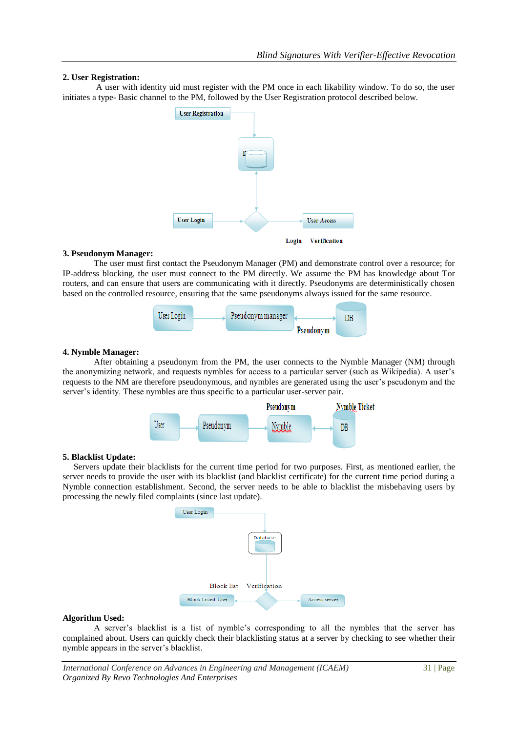#### **2. User Registration:**

A user with identity uid must register with the PM once in each likability window. To do so, the user initiates a type- Basic channel to the PM, followed by the User Registration protocol described below.



#### **3. Pseudonym Manager:**

The user must first contact the Pseudonym Manager (PM) and demonstrate control over a resource; for IP-address blocking, the user must connect to the PM directly. We assume the PM has knowledge about Tor routers, and can ensure that users are communicating with it directly. Pseudonyms are deterministically chosen based on the controlled resource, ensuring that the same pseudonyms always issued for the same resource.



#### **4. Nymble Manager:**

After obtaining a pseudonym from the PM, the user connects to the Nymble Manager (NM) through the anonymizing network, and requests nymbles for access to a particular server (such as Wikipedia). A user's requests to the NM are therefore pseudonymous, and nymbles are generated using the user's pseudonym and the server's identity. These nymbles are thus specific to a particular user-server pair.



#### **5. Blacklist Update:**

 Servers update their blacklists for the current time period for two purposes. First, as mentioned earlier, the server needs to provide the user with its blacklist (and blacklist certificate) for the current time period during a Nymble connection establishment. Second, the server needs to be able to blacklist the misbehaving users by processing the newly filed complaints (since last update).



#### **Algorithm Used:**

A server's blacklist is a list of nymble's corresponding to all the nymbles that the server has complained about. Users can quickly check their blacklisting status at a server by checking to see whether their nymble appears in the server's blacklist.

*International Conference on Advances in Engineering and Management (ICAEM)* 31 | Page *Organized By Revo Technologies And Enterprises*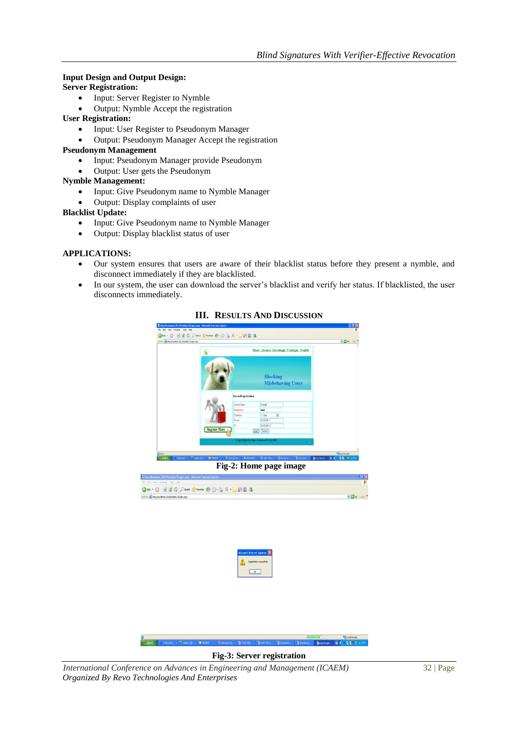## **Input Design and Output Design:**

- **Server Registration:**
	- Input: Server Register to Nymble
	- Output: Nymble Accept the registration

### **User Registration:**

- Input: User Register to Pseudonym Manager
- Output: Pseudonym Manager Accept the registration

#### **Pseudonym Management**

- Input: Pseudonym Manager provide Pseudonym
- Output: User gets the Pseudonym

#### **Nymble Management:**

- Input: Give Pseudonym name to Nymble Manager
- Output: Display complaints of user

#### **Blacklist Update:**

- Input: Give Pseudonym name to Nymble Manager
- Output: Display blacklist status of user

#### **APPLICATIONS:**

- Our system ensures that users are aware of their blacklist status before they present a nymble, and disconnect immediately if they are blacklisted.
- In our system, the user can download the server's blacklist and verify her status. If blacklisted, the user disconnects immediately.



**III. RESULTS AND DISCUSSION**

*International Conference on Advances in Engineering and Management (ICAEM)* 32 | Page *Organized By Revo Technologies And Enterprises*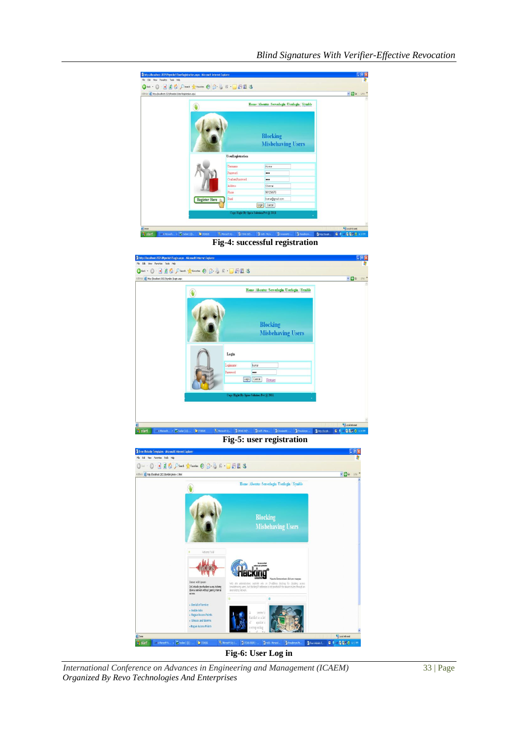

*International Conference on Advances in Engineering and Management (ICAEM)* 33 | Page *Organized By Revo Technologies And Enterprises*